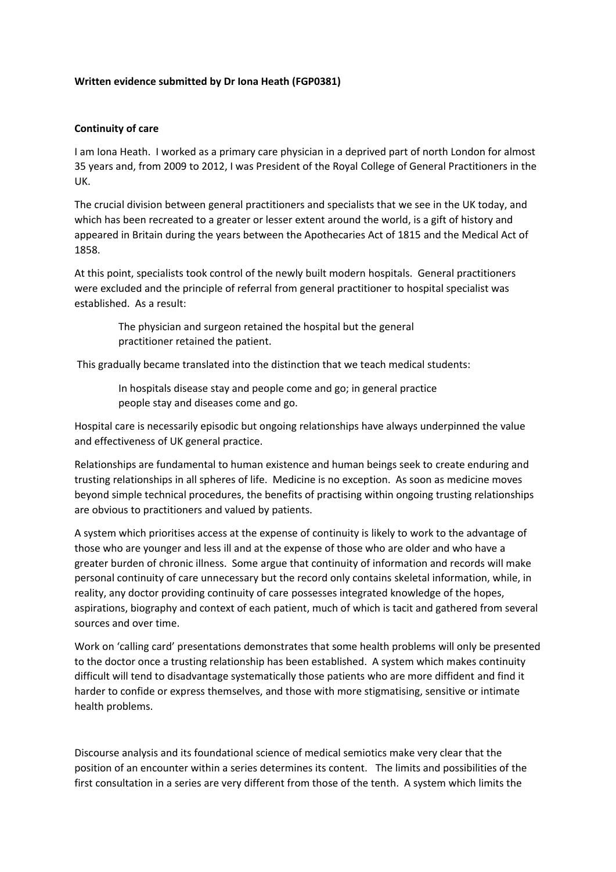## **Written evidence submitted by Dr Iona Heath (FGP0381)**

## **Continuity of care**

I am Iona Heath. I worked as a primary care physician in a deprived part of north London for almost 35 years and, from 2009 to 2012, I was President of the Royal College of General Practitioners in the UK.

The crucial division between general practitioners and specialists that we see in the UK today, and which has been recreated to a greater or lesser extent around the world, is a gift of history and appeared in Britain during the years between the Apothecaries Act of 1815 and the Medical Act of 1858.

At this point, specialists took control of the newly built modern hospitals. General practitioners were excluded and the principle of referral from general practitioner to hospital specialist was established. As a result:

The physician and surgeon retained the hospital but the general practitioner retained the patient.

This gradually became translated into the distinction that we teach medical students:

In hospitals disease stay and people come and go; in general practice people stay and diseases come and go.

Hospital care is necessarily episodic but ongoing relationships have always underpinned the value and effectiveness of UK general practice.

Relationships are fundamental to human existence and human beings seek to create enduring and trusting relationships in all spheres of life. Medicine is no exception. As soon as medicine moves beyond simple technical procedures, the benefits of practising within ongoing trusting relationships are obvious to practitioners and valued by patients.

A system which prioritises access at the expense of continuity is likely to work to the advantage of those who are younger and less ill and at the expense of those who are older and who have a greater burden of chronic illness. Some argue that continuity of information and records will make personal continuity of care unnecessary but the record only contains skeletal information, while, in reality, any doctor providing continuity of care possesses integrated knowledge of the hopes, aspirations, biography and context of each patient, much of which is tacit and gathered from several sources and over time.

Work on 'calling card' presentations demonstrates that some health problems will only be presented to the doctor once a trusting relationship has been established. A system which makes continuity difficult will tend to disadvantage systematically those patients who are more diffident and find it harder to confide or express themselves, and those with more stigmatising, sensitive or intimate health problems.

Discourse analysis and its foundational science of medical semiotics make very clear that the position of an encounter within a series determines its content. The limits and possibilities of the first consultation in a series are very different from those of the tenth. A system which limits the